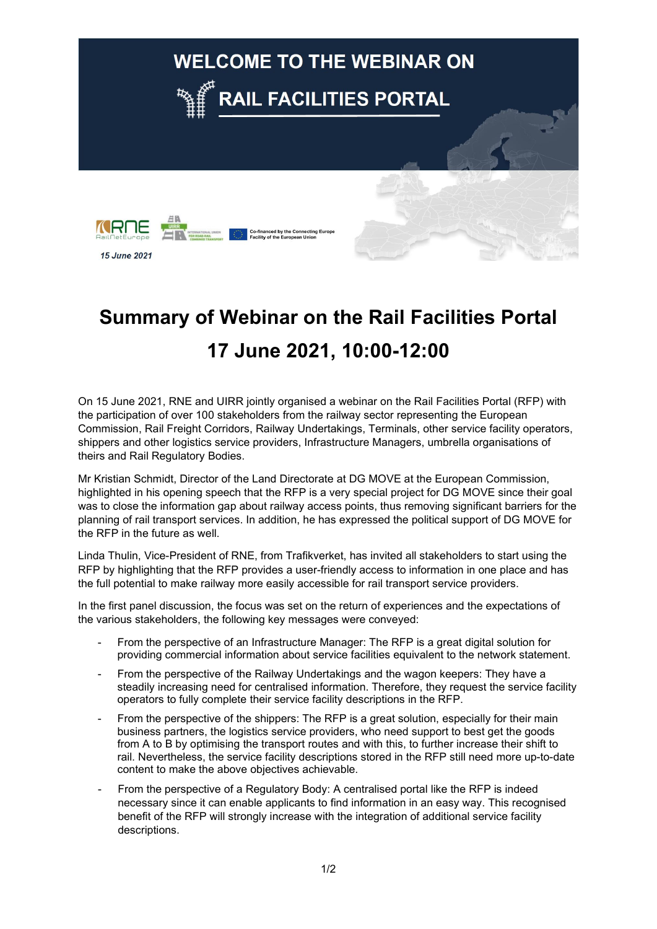

## **Summary of Webinar on the Rail Facilities Portal 17 June 2021, 10:00-12:00**

On 15 June 2021, RNE and UIRR jointly organised a webinar on the Rail Facilities Portal (RFP) with the participation of over 100 stakeholders from the railway sector representing the European Commission, Rail Freight Corridors, Railway Undertakings, Terminals, other service facility operators, shippers and other logistics service providers, Infrastructure Managers, umbrella organisations of theirs and Rail Regulatory Bodies.

Mr Kristian Schmidt, Director of the Land Directorate at DG MOVE at the European Commission, highlighted in his opening speech that the RFP is a very special project for DG MOVE since their goal was to close the information gap about railway access points, thus removing significant barriers for the planning of rail transport services. In addition, he has expressed the political support of DG MOVE for the RFP in the future as well.

Linda Thulin, Vice-President of RNE, from Trafikverket, has invited all stakeholders to start using the RFP by highlighting that the RFP provides a user-friendly access to information in one place and has the full potential to make railway more easily accessible for rail transport service providers.

In the first panel discussion, the focus was set on the return of experiences and the expectations of the various stakeholders, the following key messages were conveyed:

- From the perspective of an Infrastructure Manager: The RFP is a great digital solution for providing commercial information about service facilities equivalent to the network statement.
- From the perspective of the Railway Undertakings and the wagon keepers: They have a steadily increasing need for centralised information. Therefore, they request the service facility operators to fully complete their service facility descriptions in the RFP.
- From the perspective of the shippers: The RFP is a great solution, especially for their main business partners, the logistics service providers, who need support to best get the goods from A to B by optimising the transport routes and with this, to further increase their shift to rail. Nevertheless, the service facility descriptions stored in the RFP still need more up-to-date content to make the above objectives achievable.
- From the perspective of a Regulatory Body: A centralised portal like the RFP is indeed necessary since it can enable applicants to find information in an easy way. This recognised benefit of the RFP will strongly increase with the integration of additional service facility descriptions.